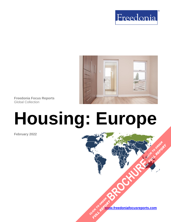



**Freedonia Focus Reports** Global Collection

# **Housing: Europe**

**February 2022**

**[www.freedoniafocusreports.com](https://www.freedoniafocusreports.com/redirect.asp?progid=89534&url=/)** CLICK TO ORDER **FULL REPORT** 

**[BROCHURE](https://www.freedoniafocusreports.com/Housing-Europe-FE60024/?progid=89541) CLICK TO ORDER** 

**FULL REPORT**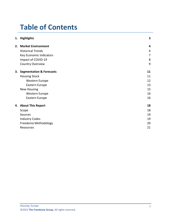# **Table of Contents**

|    | 1. Highlights               | 3  |
|----|-----------------------------|----|
| 2. | <b>Market Environment</b>   | 4  |
|    | <b>Historical Trends</b>    | 4  |
|    | Key Economic Indicators     | 7  |
|    | Impact of COVID-19          | 8  |
|    | <b>Country Overview</b>     | 9  |
|    | 3. Segmentation & Forecasts | 11 |
|    | <b>Housing Stock</b>        | 11 |
|    | Western Europe              | 12 |
|    | Eastern Europe              | 13 |
|    | <b>New Housing</b>          | 15 |
|    | Western Europe              | 16 |
|    | Eastern Europe              | 16 |
|    | 4. About This Report        | 18 |
|    | Scope                       | 18 |
|    | Sources                     | 19 |
|    | <b>Industry Codes</b>       | 19 |
|    | Freedonia Methodology       | 20 |
|    | Resources                   | 21 |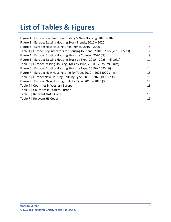# **List of Tables & Figures**

| Figure 1   Europe: Key Trends in Existing & New Housing, 2020 - 2025            | 3  |
|---------------------------------------------------------------------------------|----|
| Figure 2   Europe: Existing Housing Stock Trends, 2010 - 2020                   | 4  |
| Figure 3   Europe: New Housing Units Trends, 2010 - 2020                        | 4  |
| Table 1   Europe: Key Indicators for Housing Demand, 2010 - 2025 (2019US\$ bil) | 7  |
| Figure 4   Europe: Existing Housing Stock by Country, 2020 (%)                  | 9  |
| Figure 5   Europe: Existing Housing Stock by Type, 2010 – 2025 (mil units)      | 11 |
| Table 2   Europe: Existing Housing Stock by Type, 2010 - 2025 (mil units)       | 11 |
| Figure 6   Europe: Existing Housing Stock by Type, 2010 - 2025 (%)              | 14 |
| Figure 7   Europe: New Housing Units by Type, 2010 - 2025 (000 units)           | 15 |
| Table 3   Europe: New Housing Units by Type, 2010 - 2025 (000 units)            | 15 |
| Figure 8   Europe: New Housing Units by Type, 2010 – 2025 (%)                   | 17 |
| Table 4   Countries in Western Europe                                           | 18 |
| Table 5   Countries in Eastern Europe                                           | 19 |
| Table 6   Relevant NACE Codes                                                   | 19 |
| Table 7   Relevant HS Codes                                                     | 19 |
|                                                                                 |    |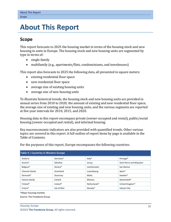## <span id="page-3-0"></span>**4. About This Report**

## <span id="page-3-1"></span>**Scope**

This report forecasts to 2025 the housing market in terms of the housing stock and new housing in units in Europe. The housing stock and new housing units are segmented by type in terms of:

- single-family
- multifamily (e.g., apartments/flats, condominiums, and townhouses)

This report also forecasts to 2025 the following data, all presented in square meters:

- existing residential floor space
- new residential floor space
- average size of existing housing units
- average size of new housing units

To illustrate historical trends, the housing stock and new housing units are provided in annual series from 2010 to 2020; the amount of existing and new residential floor space, the average size of existing and new housing units, and the various segments are reported at five-year intervals for 2010, 2015, and 2020.

Housing data in this report encompass private (owner-occupied and rental), public/social housing (owner-occupied and rental), and informal housing.

Key macroeconomic indicators are also provided with quantified trends. Other various topics are covered in this report. A full outline of report items by page is available in the Table of Contents.

<span id="page-3-2"></span>

| Table 4   Countries in Western Europe |             |               |                           |  |  |
|---------------------------------------|-------------|---------------|---------------------------|--|--|
| Andorra                               | Germany*    | Italy*        | Portugal*                 |  |  |
| Austria*                              | Gibraltar   | Jersey        | Saint Pierre and Miguelon |  |  |
| Belgium*                              | Greece*     | Liechtenstein | San Marino                |  |  |
| Channel Islands                       | Greenland   | Luxembourg    | Spain*                    |  |  |
| Denmark*                              | Guernsey    | Malta         | Sweden*                   |  |  |
| Faeroe Islands                        | Iceland     | Monaco        | Switzerland*              |  |  |
| Finland*                              | Ireland*    | Netherlands*  | United Kingdom*           |  |  |
| France*                               | Isle of Man | Norway*       | Vatican City              |  |  |

For the purposes of this report, Europe encompasses the following countries:

\*Major housing markets

Source: The Freedonia Group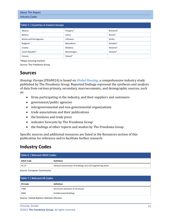Industry Codes

<span id="page-4-2"></span>

| Table 5   Countries in Eastern Europe |            |           |  |  |
|---------------------------------------|------------|-----------|--|--|
| Albania                               | Hungary*   | Romania*  |  |  |
| <b>Belarus</b>                        | Latvia     | Russia*   |  |  |
| Bosnia and Herzegovina                | Lithuania  | Serbia    |  |  |
| Bulgaria*                             | Macedonia  | Slovakia* |  |  |
| Croatia                               | Moldova    | Slovenia* |  |  |
| Czech Republic*                       | Montenegro | Ukraine*  |  |  |
| Estonia                               | Poland*    |           |  |  |

\*Major housing markets

Source: The Freedonia Group

## <span id="page-4-0"></span>**Sources**

*Housing: Europe* (FE60024) is based on *[Global Housing,](http://www.freedoniagroup.com/DocumentDetails.aspx?ReferrerId=FL-FOCUS&studyid=4331)* a comprehensive industry study published by The Freedonia Group. Reported findings represent the synthesis and analysis of data from various primary, secondary, macroeconomic, and demographic sources, such as:

- firms participating in the industry, and their suppliers and customers
- government/public agencies
- intergovernmental and non-governmental organizations
- trade associations and their publications
- the business and trade press
- indicator forecasts by The Freedonia Group
- the findings of other reports and studies by The Freedonia Group

Specific sources and additional resources are listed in the Resources section of this publication for reference and to facilitate further research.

## <span id="page-4-1"></span>**Industry Codes**

<span id="page-4-3"></span>

| Table 6   Relevant NACE Codes |                                                               |  |  |
|-------------------------------|---------------------------------------------------------------|--|--|
| <b>NACE Code</b>              | <b>Definition</b>                                             |  |  |
| 45.21                         | General construction of buildings and civil engineering works |  |  |

Source: European Commission

<span id="page-4-4"></span>

| Table 7   Relevant HS Codes |                                    |  |
|-----------------------------|------------------------------------|--|
| <b>HS Code</b>              | <b>Definition</b>                  |  |
| 7308                        | Structures and parts of structures |  |
| 9406                        | <b>Prefabricated Buildings</b>     |  |

Source: United Nations Statistics Division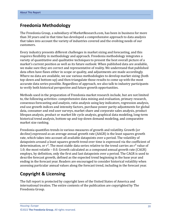## <span id="page-5-0"></span>**Freedonia Methodology**

The Freedonia Group, a subsidiary of MarketResearch.com, has been in business for more than 30 years and in that time has developed a comprehensive approach to data analysis that takes into account the variety of industries covered and the evolving needs of our customers.

Every industry presents different challenges in market sizing and forecasting, and this requires flexibility in methodology and approach. Freedonia methodology integrates a variety of quantitative and qualitative techniques to present the best overall picture of a market's current position as well as its future outlook: When published data are available, we make sure they are correct and representative of reality. We understand that published data often have flaws either in scope or quality, and adjustments are made accordingly. Where no data are available, we use various methodologies to develop market sizing (both top-down and bottom-up) and then triangulate those results to come up with the most accurate data series possible. Regardless of approach, we also talk to industry participants to verify both historical perspective and future growth opportunities.

Methods used in the preparation of Freedonia market research include, but are not limited to, the following activities: comprehensive data mining and evaluation, primary research, consensus forecasting and analysis, ratio analysis using key indicators, regression analysis, end use growth indices and intensity factors, purchase power parity adjustments for global data, consumer and end user surveys, market share and corporate sales analysis, product lifespan analysis, product or market life cycle analysis, graphical data modeling, long-term historical trend analysis, bottom-up and top-down demand modeling, and comparative market size ranking.

Freedonia quantifies trends in various measures of growth and volatility. Growth (or decline) expressed as an average annual growth rate (AAGR) is the least squares growth rate, which takes into account all available datapoints over a period. The volatility of datapoints around a least squares growth trend over time is expressed via the coefficient of determination, or  $r^2$ . The most stable data series relative to the trend carries an  $r^2$  value of 1.0; the most volatile – 0.0. Growth calculated as a compound annual growth rate (CAGR) employs, by definition, only the first and last datapoints over a period. The CAGR is used to describe forecast growth, defined as the expected trend beginning in the base year and ending in the forecast year. Readers are encouraged to consider historical volatility when assessing particular annual values along the forecast trend, including in the forecast year.

## **Copyright & Licensing**

The full report is protected by copyright laws of the United States of America and international treaties. The entire contents of the publication are copyrighted by The Freedonia Group.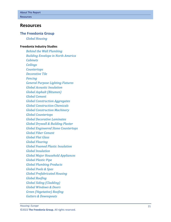## <span id="page-6-0"></span>**Resources**

### **The Freedonia Group**

*[Global Housing](http://www.freedoniagroup.com/DocumentDetails.aspx?ReferrerId=FL-FOCUS&studyid=4331)*

#### **[Freedonia Industry Studies](http://www.freedoniagroup.com/Home.aspx?ReferrerId=FL-Focus)**

*[Behind the Wall Plumbing](https://www.freedoniagroup.com/DocumentDetails.aspx?ReferrerId=FL-FOCUS&StudyId=3642) [Building Envelope in North America](https://www.freedoniagroup.com/DocumentDetails.aspx?ReferrerId=FL-FOCUS&StudyId=3725) [Cabinets](https://www.freedoniagroup.com/DocumentDetails.aspx?ReferrerId=FL-FOCUS&StudyId=3772) [Ceilings](https://www.freedoniagroup.com/DocumentDetails.aspx?ReferrerId=FL-FOCUS&StudyId=3719) [Countertops](https://www.freedoniagroup.com/DocumentDetails.aspx?ReferrerId=FL-FOCUS&StudyId=3799) [Decorative Tile](https://www.freedoniagroup.com/DocumentDetails.aspx?ReferrerId=FL-FOCUS&StudyId=3697) [Fencing](https://www.freedoniagroup.com/DocumentDetails.aspx?ReferrerId=FL-FOCUS&StudyId=3824) [General Purpose Lighting Fixtures](https://www.freedoniagroup.com/DocumentDetails.aspx?ReferrerId=FL-FOCUS&StudyId=3965) [Global Acoustic Insulation](https://www.freedoniagroup.com/DocumentDetails.aspx?ReferrerId=FL-FOCUS&StudyId=3708) [Global Asphalt \(Bitumen\)](https://www.freedoniagroup.com/DocumentDetails.aspx?ReferrerId=FL-FOCUS&StudyId=3846) [Global Cement](https://www.freedoniagroup.com/DocumentDetails.aspx?ReferrerId=FL-FOCUS&StudyId=4147) [Global Construction Aggregates](https://www.freedoniagroup.com/DocumentDetails.aspx?ReferrerId=FL-FOCUS&StudyId=3742) [Global Construction Chemicals](https://www.freedoniagroup.com/DocumentDetails.aspx?ReferrerId=FL-FOCUS&StudyId=3769) [Global Construction Machinery](https://www.freedoniagroup.com/DocumentDetails.aspx?ReferrerId=FL-FOCUS&StudyId=4266) [Global Countertops](https://www.freedoniagroup.com/DocumentDetails.aspx?ReferrerId=FL-FOCUS&StudyId=3836) [Global Decorative Laminates](https://www.freedoniagroup.com/DocumentDetails.aspx?ReferrerId=FL-FOCUS&StudyId=4139) [Global Drywall & Building Plaster](https://www.freedoniagroup.com/DocumentDetails.aspx?ReferrerId=FL-FOCUS&StudyId=3768) [Global Engineered Stone Countertops](https://www.freedoniagroup.com/DocumentDetails.aspx?ReferrerId=FL-FOCUS&StudyId=3813) [Global Fiber Cement](https://www.freedoniagroup.com/DocumentDetails.aspx?ReferrerId=FL-FOCUS&StudyId=3746) [Global Flat Glass](https://www.freedoniagroup.com/DocumentDetails.aspx?ReferrerId=FL-FOCUS&StudyId=3794) [Global Flooring](https://www.freedoniagroup.com/DocumentDetails.aspx?ReferrerId=FL-FOCUS&StudyId=4042) [Global Foamed Plastic Insulation](https://www.freedoniagroup.com/DocumentDetails.aspx?ReferrerId=FL-FOCUS&StudyId=3756) [Global Insulation](https://www.freedoniagroup.com/DocumentDetails.aspx?ReferrerId=FL-FOCUS&StudyId=4267) [Global Major Household Appliances](https://www.freedoniagroup.com/DocumentDetails.aspx?ReferrerId=FL-FOCUS&StudyId=3739) [Global Plastic Pipe](https://www.freedoniagroup.com/DocumentDetails.aspx?ReferrerId=FL-FOCUS&StudyId=3879) [Global Plumbing Products](https://www.freedoniagroup.com/DocumentDetails.aspx?ReferrerId=FL-FOCUS&StudyId=3882) [Global Pools & Spas](https://www.freedoniagroup.com/DocumentDetails.aspx?ReferrerId=FL-FOCUS&StudyId=3778) [Global Prefabricated Housing](https://www.freedoniagroup.com/DocumentDetails.aspx?ReferrerId=FL-FOCUS&StudyId=3971) [Global Roofing](https://www.freedoniagroup.com/DocumentDetails.aspx?ReferrerId=FL-FOCUS&StudyId=3698) [Global Siding \(Cladding\)](https://www.freedoniagroup.com/DocumentDetails.aspx?ReferrerId=FL-FOCUS&StudyId=3874) [Global Windows & Doors](https://www.freedoniagroup.com/DocumentDetails.aspx?ReferrerId=FL-FOCUS&StudyId=4303) [Green \(Vegetative\) Roofing](https://www.freedoniagroup.com/DocumentDetails.aspx?ReferrerId=FL-FOCUS&StudyId=4232) [Gutters & Downspouts](https://www.freedoniagroup.com/DocumentDetails.aspx?ReferrerId=FL-FOCUS&StudyId=4047)*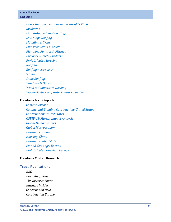About This Report Resources

> *[Home Improvement Consumer Insights 2020](https://www.freedoniagroup.com/DocumentDetails.aspx?ReferrerId=FL-FOCUS&StudyId=3895) [Insulation](https://www.freedoniagroup.com/DocumentDetails.aspx?ReferrerId=FL-FOCUS&StudyId=4304) [Liquid-Applied Roof Coatings](https://www.freedoniagroup.com/DocumentDetails.aspx?ReferrerId=FL-FOCUS&StudyId=3843) [Low-Slope Roofing](https://www.freedoniagroup.com/DocumentDetails.aspx?ReferrerId=FL-FOCUS&StudyId=3873) [Moulding & Trim](https://www.freedoniagroup.com/DocumentDetails.aspx?ReferrerId=FL-FOCUS&StudyId=3815) [Pipe Products & Markets](https://www.freedoniagroup.com/DocumentDetails.aspx?ReferrerId=FL-FOCUS&StudyId=3851) [Plumbing Fixtures & Fittings](https://www.freedoniagroup.com/DocumentDetails.aspx?ReferrerId=FL-FOCUS&StudyId=3717) [Precast Concrete Products](https://www.freedoniagroup.com/DocumentDetails.aspx?ReferrerId=FL-FOCUS&StudyId=3647) [Prefabricated Housing](https://www.freedoniagroup.com/DocumentDetails.aspx?ReferrerId=FL-FOCUS&StudyId=3814) [Roofing](https://www.freedoniagroup.com/DocumentDetails.aspx?ReferrerId=FL-FOCUS&StudyId=4216) [Roofing Accessories](https://www.freedoniagroup.com/DocumentDetails.aspx?ReferrerId=FL-FOCUS&StudyId=4291) [Siding](https://www.freedoniagroup.com/DocumentDetails.aspx?ReferrerId=FL-FOCUS&StudyId=4152) [Solar Roofing](https://www.freedoniagroup.com/DocumentDetails.aspx?ReferrerId=FL-FOCUS&StudyId=4227) [Windows & Doors](https://www.freedoniagroup.com/DocumentDetails.aspx?ReferrerId=FL-FOCUS&StudyId=3726) [Wood & Competitive Decking](https://www.freedoniagroup.com/DocumentDetails.aspx?ReferrerId=FL-FOCUS&StudyId=3789) [Wood-Plastic Composite & Plastic Lumber](https://www.freedoniagroup.com/DocumentDetails.aspx?ReferrerId=FL-FOCUS&StudyId=3845)*

#### **[Freedonia Focus Reports](https://www.freedoniafocusreports.com/redirect.asp?progid=89534&url=/)**

*[Cement: Europe](https://www.freedoniafocusreports.com/Cement-Europe-FE60013/?progid=89534) [Commercial Building Construction: United States](https://www.freedoniafocusreports.com/Commercial-Building-Construction-United-States-FF60032?progid=89534) [Construction: United States](https://www.freedoniafocusreports.com/Construction-United-States-FF60054/?progid=89534) [COVID-19 Market Impact Analysis](https://www.freedoniafocusreports.com/COVID-19-Market-Impact-Analysis-FW95079/?progid=89534) [Global Demographics](https://www.freedoniafocusreports.com/Global-Demographics-FW95050/?progid=89534) [Global Macroeconomy](https://www.freedoniafocusreports.com/Global-Macroeconomy-FW95051/?progid=89534) [Housing: Canada](https://www.freedoniafocusreports.com/Housing-Canada-FA60024?progid=89534) [Housing: China](https://www.freedoniafocusreports.com/Housing-China-FC60024?progid=89534) [Housing: United States](https://www.freedoniafocusreports.com/Housing-United-States-FF60024?progid=89534) [Paint & Coatings: Europe](https://www.freedoniafocusreports.com/Paint-Coatings-Europe-FE35065/?progid=89534) [Prefabricated Housing: Europe](https://www.freedoniafocusreports.com/Prefabricated-Housing-Europe-FE60031?progid=89534)*

#### **[Freedonia Custom Research](http://www.freedoniagroup.com/CustomResearch.aspx?ReferrerId=FL-Focus)**

#### **Trade Publications**

*BBC Bloomberg News The Brussels Times Business Insider Construction Dive Construction Europe*